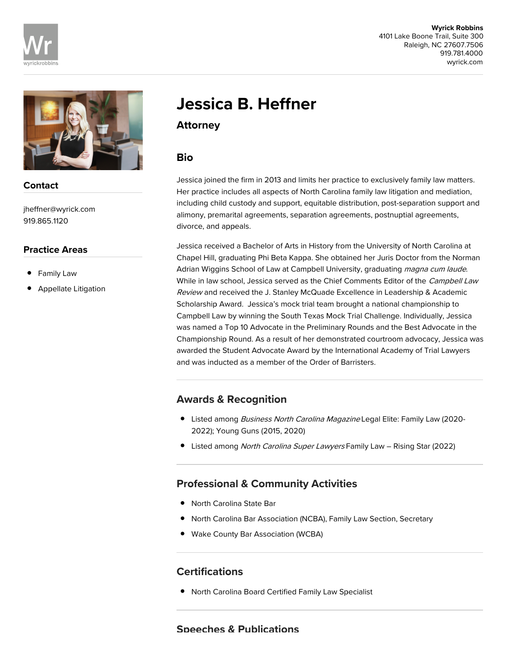



## Contact

jheffner@wyrick.com 919.865.1120

#### Practice Areas

- Family Law
- Appellate Litigation

# Jessica B. Heffner

Attorney

## Bio

Jessica joined the firm in 2013 and limits her practice to exclusively family law matters. Her practice includes all aspects of North Carolina family law litigation and mediation, including child custody and support, equitable distribution, post-separation support and alimony, premarital agreements, separation agreements, postnuptial agreements, divorce, and appeals.

Jessica received a Bachelor of Arts in History from the University of North Carolina at Chapel Hill, graduating Phi Beta Kappa. She obtained her Juris Doctor from the Norman Adrian Wiggins School of Law at Campbell University, graduating magna cum laude. While in law school, Jessica served as the Chief Comments Editor of the Campbell Law Review and received the J. Stanley McQuade Excellence in Leadership & Academic Scholarship Award. Jessica's mock trial team brought a national championship to Campbell Law by winning the South Texas Mock Trial Challenge. Individually, Jessica was named a Top 10 Advocate in the Preliminary Rounds and the Best Advocate in the Championship Round. As a result of her demonstrated courtroom advocacy, Jessica was awarded the Student Advocate Award by the International Academy of Trial Lawyers and was inducted as a member of the Order of Barristers.

# Awards & Recognition

- Listed among Business North Carolina Magazine Legal Elite: Family Law (2020-2022); Young Guns (2015, 2020)
- Listed among North Carolina Super Lawyers Family Law Rising Star (2022)

# Professional & Community Activities

- North Carolina State Bar
- North Carolina Bar Association (NCBA), Family Law Section, Secretary
- Wake County Bar Association (WCBA)

# **Certifications**

North Carolina Board Certified Family Law Specialist

### Speeches & Publications